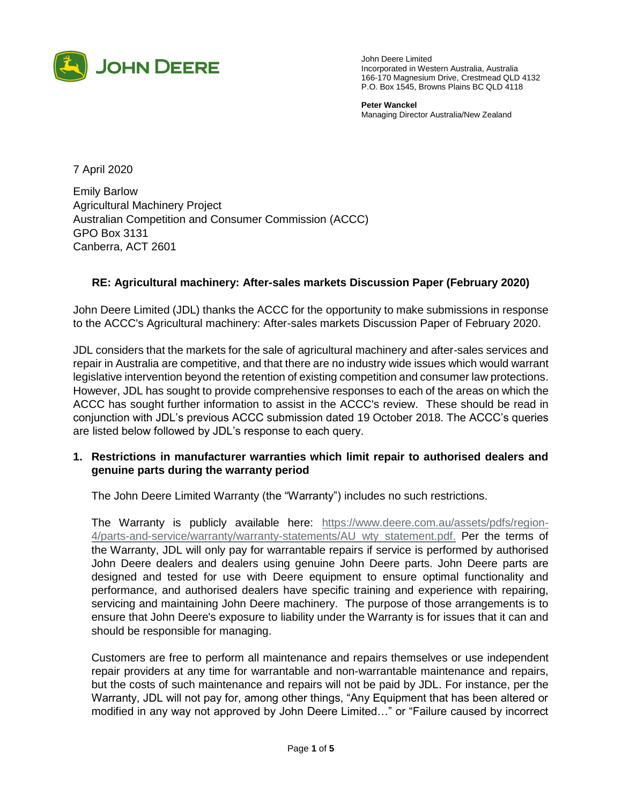

John Deere Limited Incorporated in Western Australia, Australia 166-170 Magnesium Drive, Crestmead QLD 4132 P.O. Box 1545, Browns Plains BC QLD 4118

**Peter Wanckel**  Managing Director Australia/New Zealand

7 April 2020

Emily Barlow Agricultural Machinery Project Australian Competition and Consumer Commission (ACCC) GPO Box 3131 Canberra, ACT 2601

## **RE: Agricultural machinery: After-sales markets Discussion Paper (February 2020)**

John Deere Limited (JDL) thanks the ACCC for the opportunity to make submissions in response to the ACCC's Agricultural machinery: After-sales markets Discussion Paper of February 2020.

JDL considers that the markets for the sale of agricultural machinery and after-sales services and repair in Australia are competitive, and that there are no industry wide issues which would warrant legislative intervention beyond the retention of existing competition and consumer law protections. However, JDL has sought to provide comprehensive responses to each of the areas on which the ACCC has sought further information to assist in the ACCC's review. These should be read in conjunction with JDL's previous ACCC submission dated 19 October 2018. The ACCC's queries are listed below followed by JDL's response to each query.

## **1. Restrictions in manufacturer warranties which limit repair to authorised dealers and genuine parts during the warranty period**

The John Deere Limited Warranty (the "Warranty") includes no such restrictions.

The Warranty is publicly available here: [https://www.deere.com.au/assets/pdfs/region-](https://www.deere.com.au/assets/pdfs/region-4/parts-and-service/warranty/warranty-statements/AU_wty_statement.pdf)[4/parts-and-service/warranty/warranty-statements/AU\\_wty\\_statement.pdf.](https://www.deere.com.au/assets/pdfs/region-4/parts-and-service/warranty/warranty-statements/AU_wty_statement.pdf) Per the terms of the Warranty, JDL will only pay for warrantable repairs if service is performed by authorised John Deere dealers and dealers using genuine John Deere parts. John Deere parts are designed and tested for use with Deere equipment to ensure optimal functionality and performance, and authorised dealers have specific training and experience with repairing, servicing and maintaining John Deere machinery. The purpose of those arrangements is to ensure that John Deere's exposure to liability under the Warranty is for issues that it can and should be responsible for managing.

Customers are free to perform all maintenance and repairs themselves or use independent repair providers at any time for warrantable and non-warrantable maintenance and repairs, but the costs of such maintenance and repairs will not be paid by JDL. For instance, per the Warranty, JDL will not pay for, among other things, "Any Equipment that has been altered or modified in any way not approved by John Deere Limited…" or "Failure caused by incorrect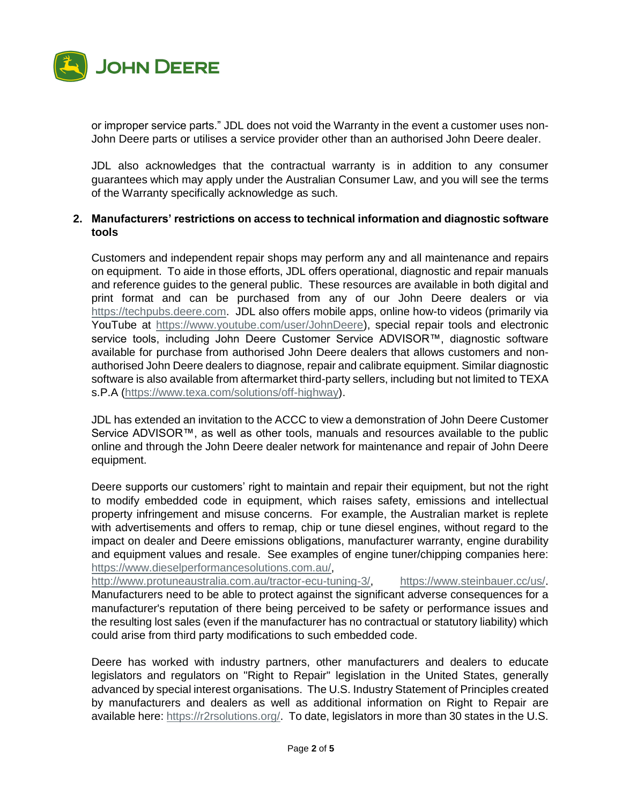

or improper service parts." JDL does not void the Warranty in the event a customer uses non-John Deere parts or utilises a service provider other than an authorised John Deere dealer.

JDL also acknowledges that the contractual warranty is in addition to any consumer guarantees which may apply under the Australian Consumer Law, and you will see the terms of the Warranty specifically acknowledge as such.

## **2. Manufacturers' restrictions on access to technical information and diagnostic software tools**

Customers and independent repair shops may perform any and all maintenance and repairs on equipment. To aide in those efforts, JDL offers operational, diagnostic and repair manuals and reference guides to the general public. These resources are available in both digital and print format and can be purchased from any of our John Deere dealers or via [https://techpubs.deere.com.](https://techpubs.deere.com/) JDL also offers mobile apps, online how-to videos (primarily via YouTube at [https://www.youtube.com/user/JohnDeere\)](https://www.youtube.com/user/JohnDeere), special repair tools and electronic service tools, including John Deere Customer Service ADVISOR™, diagnostic software available for purchase from authorised John Deere dealers that allows customers and nonauthorised John Deere dealers to diagnose, repair and calibrate equipment. Similar diagnostic software is also available from aftermarket third-party sellers, including but not limited to TEXA s.P.A [\(https://www.texa.com/solutions/off-highway\)](https://www.texa.com/solutions/off-highway).

JDL has extended an invitation to the ACCC to view a demonstration of John Deere Customer Service ADVISOR™, as well as other tools, manuals and resources available to the public online and through the John Deere dealer network for maintenance and repair of John Deere equipment.

Deere supports our customers' right to maintain and repair their equipment, but not the right to modify embedded code in equipment, which raises safety, emissions and intellectual property infringement and misuse concerns. For example, the Australian market is replete with advertisements and offers to remap, chip or tune diesel engines, without regard to the impact on dealer and Deere emissions obligations, manufacturer warranty, engine durability and equipment values and resale. See examples of engine tuner/chipping companies here: [https://www.dieselperformancesolutions.com.au/,](https://www.dieselperformancesolutions.com.au/)

[http://www.protuneaustralia.com.au/tractor-ecu-tuning-3/,](http://www.protuneaustralia.com.au/tractor-ecu-tuning-3/) [https://www.steinbauer.cc/us/.](https://www.steinbauer.cc/us/) Manufacturers need to be able to protect against the significant adverse consequences for a manufacturer's reputation of there being perceived to be safety or performance issues and the resulting lost sales (even if the manufacturer has no contractual or statutory liability) which could arise from third party modifications to such embedded code.

Deere has worked with industry partners, other manufacturers and dealers to educate legislators and regulators on "Right to Repair" legislation in the United States, generally advanced by special interest organisations. The U.S. Industry Statement of Principles created by manufacturers and dealers as well as additional information on Right to Repair are available here: [https://r2rsolutions.org/.](https://r2rsolutions.org/) To date, legislators in more than 30 states in the U.S.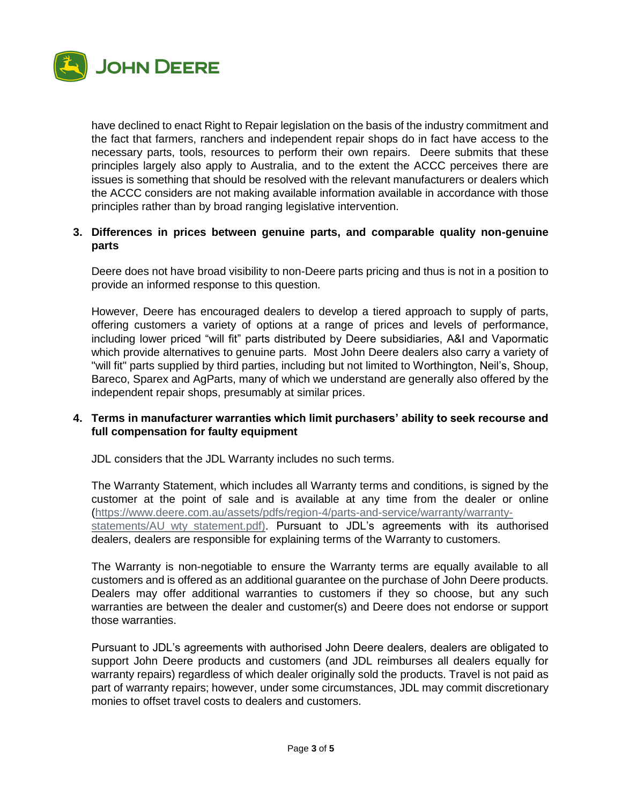

have declined to enact Right to Repair legislation on the basis of the industry commitment and the fact that farmers, ranchers and independent repair shops do in fact have access to the necessary parts, tools, resources to perform their own repairs. Deere submits that these principles largely also apply to Australia, and to the extent the ACCC perceives there are issues is something that should be resolved with the relevant manufacturers or dealers which the ACCC considers are not making available information available in accordance with those principles rather than by broad ranging legislative intervention.

# **3. Differences in prices between genuine parts, and comparable quality non-genuine parts**

Deere does not have broad visibility to non-Deere parts pricing and thus is not in a position to provide an informed response to this question.

However, Deere has encouraged dealers to develop a tiered approach to supply of parts, offering customers a variety of options at a range of prices and levels of performance, including lower priced "will fit" parts distributed by Deere subsidiaries, A&I and Vapormatic which provide alternatives to genuine parts. Most John Deere dealers also carry a variety of "will fit" parts supplied by third parties, including but not limited to Worthington, Neil's, Shoup, Bareco, Sparex and AgParts, many of which we understand are generally also offered by the independent repair shops, presumably at similar prices.

## **4. Terms in manufacturer warranties which limit purchasers' ability to seek recourse and full compensation for faulty equipment**

JDL considers that the JDL Warranty includes no such terms.

The Warranty Statement, which includes all Warranty terms and conditions, is signed by the customer at the point of sale and is available at any time from the dealer or online [\(https://www.deere.com.au/assets/pdfs/region-4/parts-and-service/warranty/warranty](https://www.deere.com.au/assets/pdfs/region-4/parts-and-service/warranty/warranty-statements/AU_wty_statement.pdf)statements/AU wty statement.pdf). Pursuant to JDL's agreements with its authorised dealers, dealers are responsible for explaining terms of the Warranty to customers.

The Warranty is non-negotiable to ensure the Warranty terms are equally available to all customers and is offered as an additional guarantee on the purchase of John Deere products. Dealers may offer additional warranties to customers if they so choose, but any such warranties are between the dealer and customer(s) and Deere does not endorse or support those warranties.

Pursuant to JDL's agreements with authorised John Deere dealers, dealers are obligated to support John Deere products and customers (and JDL reimburses all dealers equally for warranty repairs) regardless of which dealer originally sold the products. Travel is not paid as part of warranty repairs; however, under some circumstances, JDL may commit discretionary monies to offset travel costs to dealers and customers.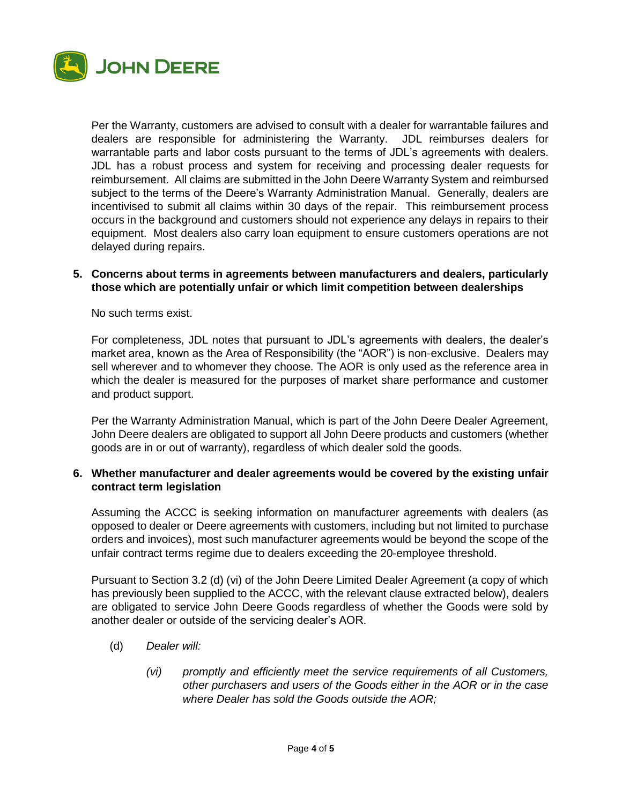

Per the Warranty, customers are advised to consult with a dealer for warrantable failures and dealers are responsible for administering the Warranty. JDL reimburses dealers for warrantable parts and labor costs pursuant to the terms of JDL's agreements with dealers. JDL has a robust process and system for receiving and processing dealer requests for reimbursement. All claims are submitted in the John Deere Warranty System and reimbursed subject to the terms of the Deere's Warranty Administration Manual. Generally, dealers are incentivised to submit all claims within 30 days of the repair. This reimbursement process occurs in the background and customers should not experience any delays in repairs to their equipment. Most dealers also carry loan equipment to ensure customers operations are not delayed during repairs.

#### **5. Concerns about terms in agreements between manufacturers and dealers, particularly those which are potentially unfair or which limit competition between dealerships**

No such terms exist.

For completeness, JDL notes that pursuant to JDL's agreements with dealers, the dealer's market area, known as the Area of Responsibility (the "AOR") is non-exclusive. Dealers may sell wherever and to whomever they choose. The AOR is only used as the reference area in which the dealer is measured for the purposes of market share performance and customer and product support.

Per the Warranty Administration Manual, which is part of the John Deere Dealer Agreement, John Deere dealers are obligated to support all John Deere products and customers (whether goods are in or out of warranty), regardless of which dealer sold the goods.

## **6. Whether manufacturer and dealer agreements would be covered by the existing unfair contract term legislation**

Assuming the ACCC is seeking information on manufacturer agreements with dealers (as opposed to dealer or Deere agreements with customers, including but not limited to purchase orders and invoices), most such manufacturer agreements would be beyond the scope of the unfair contract terms regime due to dealers exceeding the 20-employee threshold.

Pursuant to Section 3.2 (d) (vi) of the John Deere Limited Dealer Agreement (a copy of which has previously been supplied to the ACCC, with the relevant clause extracted below), dealers are obligated to service John Deere Goods regardless of whether the Goods were sold by another dealer or outside of the servicing dealer's AOR.

- (d) *Dealer will:*
	- *(vi) promptly and efficiently meet the service requirements of all Customers, other purchasers and users of the Goods either in the AOR or in the case where Dealer has sold the Goods outside the AOR;*